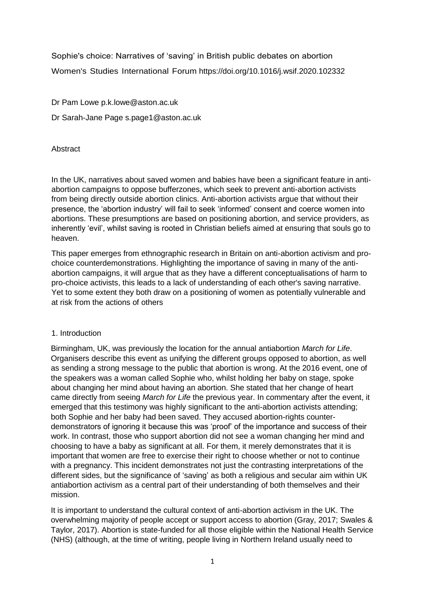Sophie's choice: Narratives of 'saving' in British public debates on abortion Women's Studies International Forum https://doi.org/10.1016/j.wsif.2020.102332

Dr Pam Lowe p.k.lowe@aston.ac.uk

Dr Sarah-Jane Page s.page1@aston.ac.uk

**Abstract** 

In the UK, narratives about saved women and babies have been a significant feature in antiabortion campaigns to oppose bufferzones, which seek to prevent anti-abortion activists from being directly outside abortion clinics. Anti-abortion activists argue that without their presence, the 'abortion industry' will fail to seek 'informed' consent and coerce women into abortions. These presumptions are based on positioning abortion, and service providers, as inherently 'evil', whilst saving is rooted in Christian beliefs aimed at ensuring that souls go to heaven.

This paper emerges from ethnographic research in Britain on anti-abortion activism and prochoice counterdemonstrations. Highlighting the importance of saving in many of the antiabortion campaigns, it will argue that as they have a different conceptualisations of harm to pro-choice activists, this leads to a lack of understanding of each other's saving narrative. Yet to some extent they both draw on a positioning of women as potentially vulnerable and at risk from the actions of others

# 1. Introduction

Birmingham, UK, was previously the location for the annual antiabortion *March for Life*. Organisers describe this event as unifying the different groups opposed to abortion, as well as sending a strong message to the public that abortion is wrong. At the 2016 event, one of the speakers was a woman called Sophie who, whilst holding her baby on stage, spoke about changing her mind about having an abortion. She stated that her change of heart came directly from seeing *March for Life* the previous year. In commentary after the event, it emerged that this testimony was highly significant to the anti-abortion activists attending; both Sophie and her baby had been saved. They accused abortion-rights counterdemonstrators of ignoring it because this was 'proof' of the importance and success of their work. In contrast, those who support abortion did not see a woman changing her mind and choosing to have a baby as significant at all. For them, it merely demonstrates that it is important that women are free to exercise their right to choose whether or not to continue with a pregnancy. This incident demonstrates not just the contrasting interpretations of the different sides, but the significance of 'saving' as both a religious and secular aim within UK antiabortion activism as a central part of their understanding of both themselves and their mission.

It is important to understand the cultural context of anti-abortion activism in the UK. The overwhelming majority of people accept or support access to abortion (Gray, 2017; Swales & Taylor, 2017). Abortion is state-funded for all those eligible within the National Health Service (NHS) (although, at the time of writing, people living in Northern Ireland usually need to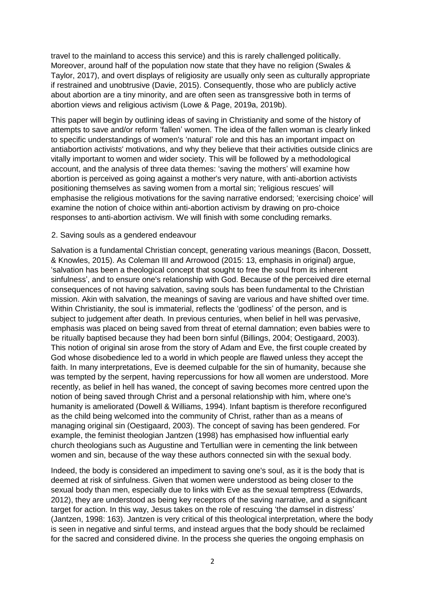travel to the mainland to access this service) and this is rarely challenged politically. Moreover, around half of the population now state that they have no religion (Swales & Taylor, 2017), and overt displays of religiosity are usually only seen as culturally appropriate if restrained and unobtrusive (Davie, 2015). Consequently, those who are publicly active about abortion are a tiny minority, and are often seen as transgressive both in terms of abortion views and religious activism (Lowe & Page, 2019a, 2019b).

This paper will begin by outlining ideas of saving in Christianity and some of the history of attempts to save and/or reform 'fallen' women. The idea of the fallen woman is clearly linked to specific understandings of women's 'natural' role and this has an important impact on antiabortion activists' motivations, and why they believe that their activities outside clinics are vitally important to women and wider society. This will be followed by a methodological account, and the analysis of three data themes: 'saving the mothers' will examine how abortion is perceived as going against a mother's very nature, with anti-abortion activists positioning themselves as saving women from a mortal sin; 'religious rescues' will emphasise the religious motivations for the saving narrative endorsed; 'exercising choice' will examine the notion of choice within anti-abortion activism by drawing on pro-choice responses to anti-abortion activism. We will finish with some concluding remarks.

#### 2. Saving souls as a gendered endeavour

Salvation is a fundamental Christian concept, generating various meanings (Bacon, Dossett, & Knowles, 2015). As Coleman III and Arrowood (2015: 13, emphasis in original) argue, 'salvation has been a theological concept that sought to free the soul from its inherent sinfulness', and to ensure one's relationship with God. Because of the perceived dire eternal consequences of not having salvation, saving souls has been fundamental to the Christian mission. Akin with salvation, the meanings of saving are various and have shifted over time. Within Christianity, the soul is immaterial, reflects the 'godliness' of the person, and is subject to judgement after death. In previous centuries, when belief in hell was pervasive, emphasis was placed on being saved from threat of eternal damnation; even babies were to be ritually baptised because they had been born sinful (Billings, 2004; Oestigaard, 2003). This notion of original sin arose from the story of Adam and Eve, the first couple created by God whose disobedience led to a world in which people are flawed unless they accept the faith. In many interpretations, Eve is deemed culpable for the sin of humanity, because she was tempted by the serpent, having repercussions for how all women are understood. More recently, as belief in hell has waned, the concept of saving becomes more centred upon the notion of being saved through Christ and a personal relationship with him, where one's humanity is ameliorated (Dowell & Williams, 1994). Infant baptism is therefore reconfigured as the child being welcomed into the community of Christ, rather than as a means of managing original sin (Oestigaard, 2003). The concept of saving has been gendered. For example, the feminist theologian Jantzen (1998) has emphasised how influential early church theologians such as Augustine and Tertullian were in cementing the link between women and sin, because of the way these authors connected sin with the sexual body.

Indeed, the body is considered an impediment to saving one's soul, as it is the body that is deemed at risk of sinfulness. Given that women were understood as being closer to the sexual body than men, especially due to links with Eve as the sexual temptress (Edwards, 2012), they are understood as being key receptors of the saving narrative, and a significant target for action. In this way, Jesus takes on the role of rescuing 'the damsel in distress' (Jantzen, 1998: 163). Jantzen is very critical of this theological interpretation, where the body is seen in negative and sinful terms, and instead argues that the body should be reclaimed for the sacred and considered divine. In the process she queries the ongoing emphasis on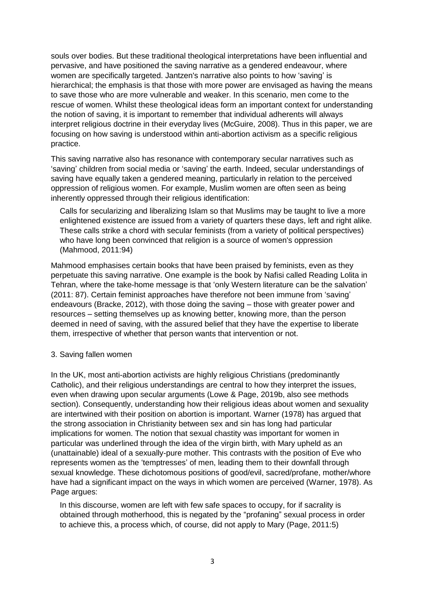souls over bodies. But these traditional theological interpretations have been influential and pervasive, and have positioned the saving narrative as a gendered endeavour, where women are specifically targeted. Jantzen's narrative also points to how 'saving' is hierarchical; the emphasis is that those with more power are envisaged as having the means to save those who are more vulnerable and weaker. In this scenario, men come to the rescue of women. Whilst these theological ideas form an important context for understanding the notion of saving, it is important to remember that individual adherents will always interpret religious doctrine in their everyday lives (McGuire, 2008). Thus in this paper, we are focusing on how saving is understood within anti-abortion activism as a specific religious practice.

This saving narrative also has resonance with contemporary secular narratives such as 'saving' children from social media or 'saving' the earth. Indeed, secular understandings of saving have equally taken a gendered meaning, particularly in relation to the perceived oppression of religious women. For example, Muslim women are often seen as being inherently oppressed through their religious identification:

Calls for secularizing and liberalizing Islam so that Muslims may be taught to live a more enlightened existence are issued from a variety of quarters these days, left and right alike. These calls strike a chord with secular feminists (from a variety of political perspectives) who have long been convinced that religion is a source of women's oppression (Mahmood, 2011:94)

Mahmood emphasises certain books that have been praised by feminists, even as they perpetuate this saving narrative. One example is the book by Nafisi called Reading Lolita in Tehran, where the take-home message is that 'only Western literature can be the salvation' (2011: 87). Certain feminist approaches have therefore not been immune from 'saving' endeavours (Bracke, 2012), with those doing the saving – those with greater power and resources – setting themselves up as knowing better, knowing more, than the person deemed in need of saving, with the assured belief that they have the expertise to liberate them, irrespective of whether that person wants that intervention or not.

### 3. Saving fallen women

In the UK, most anti-abortion activists are highly religious Christians (predominantly Catholic), and their religious understandings are central to how they interpret the issues, even when drawing upon secular arguments (Lowe & Page, 2019b, also see methods section). Consequently, understanding how their religious ideas about women and sexuality are intertwined with their position on abortion is important. Warner (1978) has argued that the strong association in Christianity between sex and sin has long had particular implications for women. The notion that sexual chastity was important for women in particular was underlined through the idea of the virgin birth, with Mary upheld as an (unattainable) ideal of a sexually-pure mother. This contrasts with the position of Eve who represents women as the 'temptresses' of men, leading them to their downfall through sexual knowledge. These dichotomous positions of good/evil, sacred/profane, mother/whore have had a significant impact on the ways in which women are perceived (Warner, 1978). As Page argues:

In this discourse, women are left with few safe spaces to occupy, for if sacrality is obtained through motherhood, this is negated by the "profaning" sexual process in order to achieve this, a process which, of course, did not apply to Mary (Page, 2011:5)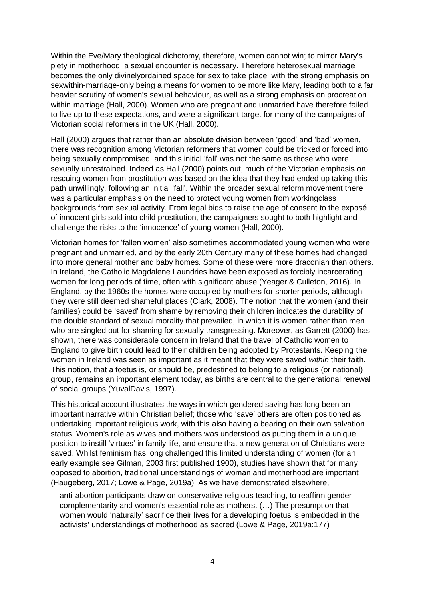Within the Eve/Mary theological dichotomy, therefore, women cannot win; to mirror Mary's piety in motherhood, a sexual encounter is necessary. Therefore heterosexual marriage becomes the only divinelyordained space for sex to take place, with the strong emphasis on sexwithin-marriage-only being a means for women to be more like Mary, leading both to a far heavier scrutiny of women's sexual behaviour, as well as a strong emphasis on procreation within marriage (Hall, 2000). Women who are pregnant and unmarried have therefore failed to live up to these expectations, and were a significant target for many of the campaigns of Victorian social reformers in the UK (Hall, 2000).

Hall (2000) argues that rather than an absolute division between 'good' and 'bad' women, there was recognition among Victorian reformers that women could be tricked or forced into being sexually compromised, and this initial 'fall' was not the same as those who were sexually unrestrained. Indeed as Hall (2000) points out, much of the Victorian emphasis on rescuing women from prostitution was based on the idea that they had ended up taking this path unwillingly, following an initial 'fall'. Within the broader sexual reform movement there was a particular emphasis on the need to protect young women from workingclass backgrounds from sexual activity. From legal bids to raise the age of consent to the exposé of innocent girls sold into child prostitution, the campaigners sought to both highlight and challenge the risks to the 'innocence' of young women (Hall, 2000).

Victorian homes for 'fallen women' also sometimes accommodated young women who were pregnant and unmarried, and by the early 20th Century many of these homes had changed into more general mother and baby homes. Some of these were more draconian than others. In Ireland, the Catholic Magdalene Laundries have been exposed as forcibly incarcerating women for long periods of time, often with significant abuse (Yeager & Culleton, 2016). In England, by the 1960s the homes were occupied by mothers for shorter periods, although they were still deemed shameful places (Clark, 2008). The notion that the women (and their families) could be 'saved' from shame by removing their children indicates the durability of the double standard of sexual morality that prevailed, in which it is women rather than men who are singled out for shaming for sexually transgressing. Moreover, as Garrett (2000) has shown, there was considerable concern in Ireland that the travel of Catholic women to England to give birth could lead to their children being adopted by Protestants. Keeping the women in Ireland was seen as important as it meant that they were saved *within* their faith. This notion, that a foetus is, or should be, predestined to belong to a religious (or national) group, remains an important element today, as births are central to the generational renewal of social groups (YuvalDavis, 1997).

This historical account illustrates the ways in which gendered saving has long been an important narrative within Christian belief; those who 'save' others are often positioned as undertaking important religious work, with this also having a bearing on their own salvation status. Women's role as wives and mothers was understood as putting them in a unique position to instill 'virtues' in family life, and ensure that a new generation of Christians were saved. Whilst feminism has long challenged this limited understanding of women (for an early example see Gilman, 2003 first published 1900), studies have shown that for many opposed to abortion, traditional understandings of woman and motherhood are important (Haugeberg, 2017; Lowe & Page, 2019a). As we have demonstrated elsewhere,

anti-abortion participants draw on conservative religious teaching, to reaffirm gender complementarity and women's essential role as mothers. (…) The presumption that women would 'naturally' sacrifice their lives for a developing foetus is embedded in the activists' understandings of motherhood as sacred (Lowe & Page, 2019a:177)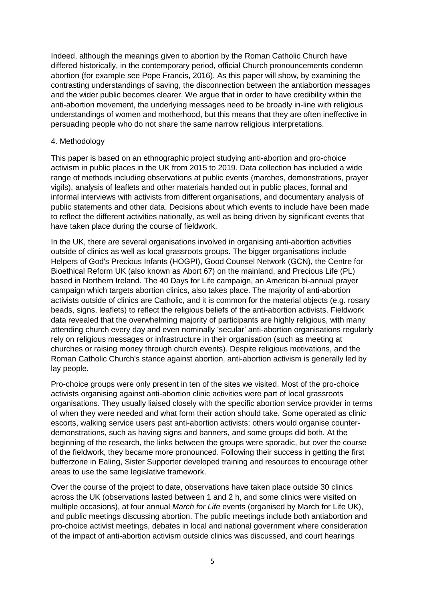Indeed, although the meanings given to abortion by the Roman Catholic Church have differed historically, in the contemporary period, official Church pronouncements condemn abortion (for example see Pope Francis, 2016). As this paper will show, by examining the contrasting understandings of saving, the disconnection between the antiabortion messages and the wider public becomes clearer. We argue that in order to have credibility within the anti-abortion movement, the underlying messages need to be broadly in-line with religious understandings of women and motherhood, but this means that they are often ineffective in persuading people who do not share the same narrow religious interpretations.

### 4. Methodology

This paper is based on an ethnographic project studying anti-abortion and pro-choice activism in public places in the UK from 2015 to 2019. Data collection has included a wide range of methods including observations at public events (marches, demonstrations, prayer vigils), analysis of leaflets and other materials handed out in public places, formal and informal interviews with activists from different organisations, and documentary analysis of public statements and other data. Decisions about which events to include have been made to reflect the different activities nationally, as well as being driven by significant events that have taken place during the course of fieldwork.

In the UK, there are several organisations involved in organising anti-abortion activities outside of clinics as well as local grassroots groups. The bigger organisations include Helpers of God's Precious Infants (HOGPI), Good Counsel Network (GCN), the Centre for Bioethical Reform UK (also known as Abort 67) on the mainland, and Precious Life (PL) based in Northern Ireland. The 40 Days for Life campaign, an American bi-annual prayer campaign which targets abortion clinics, also takes place. The majority of anti-abortion activists outside of clinics are Catholic, and it is common for the material objects (e.g. rosary beads, signs, leaflets) to reflect the religious beliefs of the anti-abortion activists. Fieldwork data revealed that the overwhelming majority of participants are highly religious, with many attending church every day and even nominally 'secular' anti-abortion organisations regularly rely on religious messages or infrastructure in their organisation (such as meeting at churches or raising money through church events). Despite religious motivations, and the Roman Catholic Church's stance against abortion, anti-abortion activism is generally led by lay people.

Pro-choice groups were only present in ten of the sites we visited. Most of the pro-choice activists organising against anti-abortion clinic activities were part of local grassroots organisations. They usually liaised closely with the specific abortion service provider in terms of when they were needed and what form their action should take. Some operated as clinic escorts, walking service users past anti-abortion activists; others would organise counterdemonstrations, such as having signs and banners, and some groups did both. At the beginning of the research, the links between the groups were sporadic, but over the course of the fieldwork, they became more pronounced. Following their success in getting the first bufferzone in Ealing, Sister Supporter developed training and resources to encourage other areas to use the same legislative framework.

Over the course of the project to date, observations have taken place outside 30 clinics across the UK (observations lasted between 1 and 2 h, and some clinics were visited on multiple occasions), at four annual *March for Life* events (organised by March for Life UK), and public meetings discussing abortion. The public meetings include both antiabortion and pro-choice activist meetings, debates in local and national government where consideration of the impact of anti-abortion activism outside clinics was discussed, and court hearings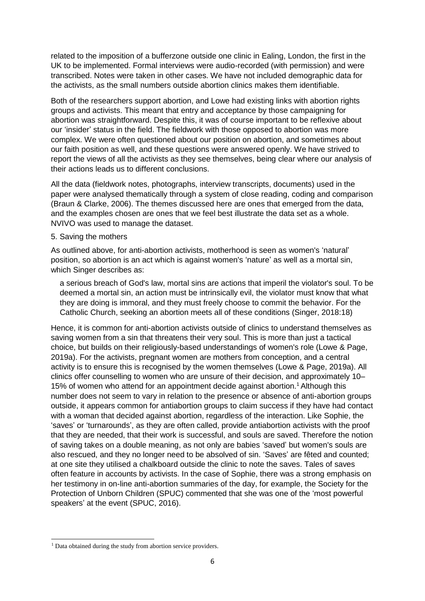related to the imposition of a bufferzone outside one clinic in Ealing, London, the first in the UK to be implemented. Formal interviews were audio-recorded (with permission) and were transcribed. Notes were taken in other cases. We have not included demographic data for the activists, as the small numbers outside abortion clinics makes them identifiable.

Both of the researchers support abortion, and Lowe had existing links with abortion rights groups and activists. This meant that entry and acceptance by those campaigning for abortion was straightforward. Despite this, it was of course important to be reflexive about our 'insider' status in the field. The fieldwork with those opposed to abortion was more complex. We were often questioned about our position on abortion, and sometimes about our faith position as well, and these questions were answered openly. We have strived to report the views of all the activists as they see themselves, being clear where our analysis of their actions leads us to different conclusions.

All the data (fieldwork notes, photographs, interview transcripts, documents) used in the paper were analysed thematically through a system of close reading, coding and comparison (Braun & Clarke, 2006). The themes discussed here are ones that emerged from the data, and the examples chosen are ones that we feel best illustrate the data set as a whole. NVIVO was used to manage the dataset.

#### 5. Saving the mothers

As outlined above, for anti-abortion activists, motherhood is seen as women's 'natural' position, so abortion is an act which is against women's 'nature' as well as a mortal sin, which Singer describes as:

a serious breach of God's law, mortal sins are actions that imperil the violator's soul. To be deemed a mortal sin, an action must be intrinsically evil, the violator must know that what they are doing is immoral, and they must freely choose to commit the behavior. For the Catholic Church, seeking an abortion meets all of these conditions (Singer, 2018:18)

Hence, it is common for anti-abortion activists outside of clinics to understand themselves as saving women from a sin that threatens their very soul. This is more than just a tactical choice, but builds on their religiously-based understandings of women's role (Lowe & Page, 2019a). For the activists, pregnant women are mothers from conception, and a central activity is to ensure this is recognised by the women themselves (Lowe & Page, 2019a). All clinics offer counselling to women who are unsure of their decision, and approximately 10– 15% of women who attend for an appointment decide against abortion.<sup>1</sup> Although this number does not seem to vary in relation to the presence or absence of anti-abortion groups outside, it appears common for antiabortion groups to claim success if they have had contact with a woman that decided against abortion, regardless of the interaction. Like Sophie, the 'saves' or 'turnarounds', as they are often called, provide antiabortion activists with the proof that they are needed, that their work is successful, and souls are saved. Therefore the notion of saving takes on a double meaning, as not only are babies 'saved' but women's souls are also rescued, and they no longer need to be absolved of sin. 'Saves' are fêted and counted; at one site they utilised a chalkboard outside the clinic to note the saves. Tales of saves often feature in accounts by activists. In the case of Sophie, there was a strong emphasis on her testimony in on-line anti-abortion summaries of the day, for example, the Society for the Protection of Unborn Children (SPUC) commented that she was one of the 'most powerful speakers' at the event (SPUC, 2016).

 $\overline{a}$ <sup>1</sup> Data obtained during the study from abortion service providers.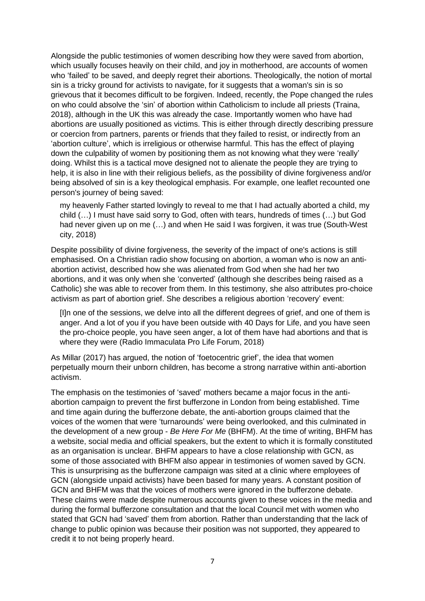Alongside the public testimonies of women describing how they were saved from abortion, which usually focuses heavily on their child, and joy in motherhood, are accounts of women who 'failed' to be saved, and deeply regret their abortions. Theologically, the notion of mortal sin is a tricky ground for activists to navigate, for it suggests that a woman's sin is so grievous that it becomes difficult to be forgiven. Indeed, recently, the Pope changed the rules on who could absolve the 'sin' of abortion within Catholicism to include all priests (Traina, 2018), although in the UK this was already the case. Importantly women who have had abortions are usually positioned as victims. This is either through directly describing pressure or coercion from partners, parents or friends that they failed to resist, or indirectly from an 'abortion culture', which is irreligious or otherwise harmful. This has the effect of playing down the culpability of women by positioning them as not knowing what they were 'really' doing. Whilst this is a tactical move designed not to alienate the people they are trying to help, it is also in line with their religious beliefs, as the possibility of divine forgiveness and/or being absolved of sin is a key theological emphasis. For example, one leaflet recounted one person's journey of being saved:

my heavenly Father started lovingly to reveal to me that I had actually aborted a child, my child (…) I must have said sorry to God, often with tears, hundreds of times (…) but God had never given up on me (…) and when He said I was forgiven, it was true (South-West city, 2018)

Despite possibility of divine forgiveness, the severity of the impact of one's actions is still emphasised. On a Christian radio show focusing on abortion, a woman who is now an antiabortion activist, described how she was alienated from God when she had her two abortions, and it was only when she 'converted' (although she describes being raised as a Catholic) she was able to recover from them. In this testimony, she also attributes pro-choice activism as part of abortion grief. She describes a religious abortion 'recovery' event:

[I]n one of the sessions, we delve into all the different degrees of grief, and one of them is anger. And a lot of you if you have been outside with 40 Days for Life, and you have seen the pro-choice people, you have seen anger, a lot of them have had abortions and that is where they were (Radio Immaculata Pro Life Forum, 2018)

As Millar (2017) has argued, the notion of 'foetocentric grief', the idea that women perpetually mourn their unborn children, has become a strong narrative within anti-abortion activism.

The emphasis on the testimonies of 'saved' mothers became a major focus in the antiabortion campaign to prevent the first bufferzone in London from being established. Time and time again during the bufferzone debate, the anti-abortion groups claimed that the voices of the women that were 'turnarounds' were being overlooked, and this culminated in the development of a new group - *Be Here For Me* (BHFM). At the time of writing, BHFM has a website, social media and official speakers, but the extent to which it is formally constituted as an organisation is unclear. BHFM appears to have a close relationship with GCN, as some of those associated with BHFM also appear in testimonies of women saved by GCN. This is unsurprising as the bufferzone campaign was sited at a clinic where employees of GCN (alongside unpaid activists) have been based for many years. A constant position of GCN and BHFM was that the voices of mothers were ignored in the bufferzone debate. These claims were made despite numerous accounts given to these voices in the media and during the formal bufferzone consultation and that the local Council met with women who stated that GCN had 'saved' them from abortion. Rather than understanding that the lack of change to public opinion was because their position was not supported, they appeared to credit it to not being properly heard.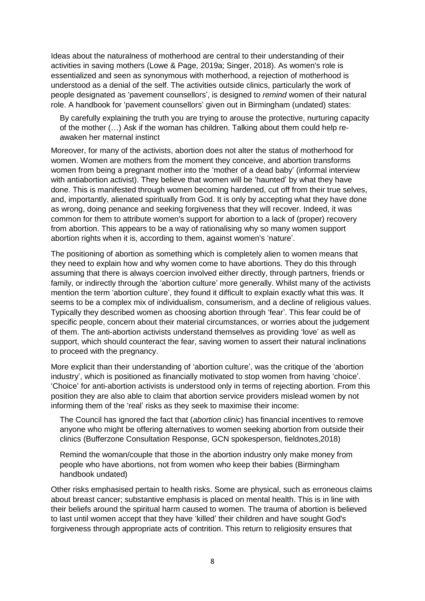Ideas about the naturalness of motherhood are central to their understanding of their activities in saving mothers (Lowe & Page, 2019a; Singer, 2018). As women's role is essentialized and seen as synonymous with motherhood, a rejection of motherhood is understood as a denial of the self. The activities outside clinics, particularly the work of people designated as 'pavement counsellors', is designed to *remind* women of their natural role. A handbook for 'pavement counsellors' given out in Birmingham (undated) states:

By carefully explaining the truth you are trying to arouse the protective, nurturing capacity of the mother (…) Ask if the woman has children. Talking about them could help reawaken her maternal instinct

Moreover, for many of the activists, abortion does not alter the status of motherhood for women. Women are mothers from the moment they conceive, and abortion transforms women from being a pregnant mother into the 'mother of a dead baby' (informal interview with antiabortion activist). They believe that women will be 'haunted' by what they have done. This is manifested through women becoming hardened, cut off from their true selves, and, importantly, alienated spiritually from God. It is only by accepting what they have done as wrong, doing penance and seeking forgiveness that they will recover. Indeed, it was common for them to attribute women's support for abortion to a lack of (proper) recovery from abortion. This appears to be a way of rationalising why so many women support abortion rights when it is, according to them, against women's 'nature'.

The positioning of abortion as something which is completely alien to women means that they need to explain how and why women come to have abortions. They do this through assuming that there is always coercion involved either directly, through partners, friends or family, or indirectly through the 'abortion culture' more generally. Whilst many of the activists mention the term 'abortion culture', they found it difficult to explain exactly what this was. It seems to be a complex mix of individualism, consumerism, and a decline of religious values. Typically they described women as choosing abortion through 'fear'. This fear could be of specific people, concern about their material circumstances, or worries about the judgement of them. The anti-abortion activists understand themselves as providing 'love' as well as support, which should counteract the fear, saving women to assert their natural inclinations to proceed with the pregnancy.

More explicit than their understanding of 'abortion culture', was the critique of the 'abortion industry', which is positioned as financially motivated to stop women from having 'choice'. 'Choice' for anti-abortion activists is understood only in terms of rejecting abortion. From this position they are also able to claim that abortion service providers mislead women by not informing them of the 'real' risks as they seek to maximise their income:

The Council has ignored the fact that (*abortion clinic*) has financial incentives to remove anyone who might be offering alternatives to women seeking abortion from outside their clinics (Bufferzone Consultation Response, GCN spokesperson, fieldnotes,2018)

Remind the woman/couple that those in the abortion industry only make money from people who have abortions, not from women who keep their babies (Birmingham handbook undated)

Other risks emphasised pertain to health risks. Some are physical, such as erroneous claims about breast cancer; substantive emphasis is placed on mental health. This is in line with their beliefs around the spiritual harm caused to women. The trauma of abortion is believed to last until women accept that they have 'killed' their children and have sought God's forgiveness through appropriate acts of contrition. This return to religiosity ensures that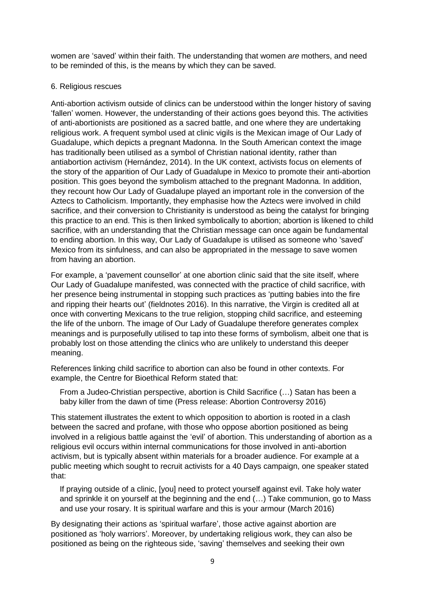women are 'saved' within their faith. The understanding that women *are* mothers, and need to be reminded of this, is the means by which they can be saved.

## 6. Religious rescues

Anti-abortion activism outside of clinics can be understood within the longer history of saving 'fallen' women. However, the understanding of their actions goes beyond this. The activities of anti-abortionists are positioned as a sacred battle, and one where they are undertaking religious work. A frequent symbol used at clinic vigils is the Mexican image of Our Lady of Guadalupe, which depicts a pregnant Madonna. In the South American context the image has traditionally been utilised as a symbol of Christian national identity, rather than antiabortion activism (Hernández, 2014). In the UK context, activists focus on elements of the story of the apparition of Our Lady of Guadalupe in Mexico to promote their anti-abortion position. This goes beyond the symbolism attached to the pregnant Madonna. In addition, they recount how Our Lady of Guadalupe played an important role in the conversion of the Aztecs to Catholicism. Importantly, they emphasise how the Aztecs were involved in child sacrifice, and their conversion to Christianity is understood as being the catalyst for bringing this practice to an end. This is then linked symbolically to abortion; abortion is likened to child sacrifice, with an understanding that the Christian message can once again be fundamental to ending abortion. In this way, Our Lady of Guadalupe is utilised as someone who 'saved' Mexico from its sinfulness, and can also be appropriated in the message to save women from having an abortion.

For example, a 'pavement counsellor' at one abortion clinic said that the site itself, where Our Lady of Guadalupe manifested, was connected with the practice of child sacrifice, with her presence being instrumental in stopping such practices as 'putting babies into the fire and ripping their hearts out' (fieldnotes 2016). In this narrative, the Virgin is credited all at once with converting Mexicans to the true religion, stopping child sacrifice, and esteeming the life of the unborn. The image of Our Lady of Guadalupe therefore generates complex meanings and is purposefully utilised to tap into these forms of symbolism, albeit one that is probably lost on those attending the clinics who are unlikely to understand this deeper meaning.

References linking child sacrifice to abortion can also be found in other contexts. For example, the Centre for Bioethical Reform stated that:

From a Judeo-Christian perspective, abortion is Child Sacrifice (…) Satan has been a baby killer from the dawn of time (Press release: Abortion Controversy 2016)

This statement illustrates the extent to which opposition to abortion is rooted in a clash between the sacred and profane, with those who oppose abortion positioned as being involved in a religious battle against the 'evil' of abortion. This understanding of abortion as a religious evil occurs within internal communications for those involved in anti-abortion activism, but is typically absent within materials for a broader audience. For example at a public meeting which sought to recruit activists for a 40 Days campaign, one speaker stated that:

If praying outside of a clinic, [you] need to protect yourself against evil. Take holy water and sprinkle it on yourself at the beginning and the end (…) Take communion, go to Mass and use your rosary. It is spiritual warfare and this is your armour (March 2016)

By designating their actions as 'spiritual warfare', those active against abortion are positioned as 'holy warriors'. Moreover, by undertaking religious work, they can also be positioned as being on the righteous side, 'saving' themselves and seeking their own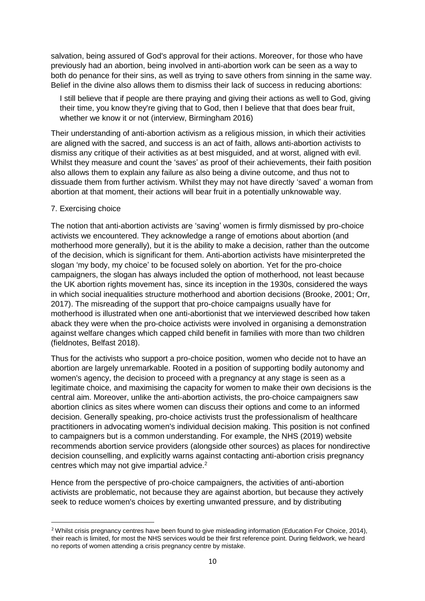salvation, being assured of God's approval for their actions. Moreover, for those who have previously had an abortion, being involved in anti-abortion work can be seen as a way to both do penance for their sins, as well as trying to save others from sinning in the same way. Belief in the divine also allows them to dismiss their lack of success in reducing abortions:

I still believe that if people are there praying and giving their actions as well to God, giving their time, you know they're giving that to God, then I believe that that does bear fruit, whether we know it or not (interview, Birmingham 2016)

Their understanding of anti-abortion activism as a religious mission, in which their activities are aligned with the sacred, and success is an act of faith, allows anti-abortion activists to dismiss any critique of their activities as at best misguided, and at worst, aligned with evil. Whilst they measure and count the 'saves' as proof of their achievements, their faith position also allows them to explain any failure as also being a divine outcome, and thus not to dissuade them from further activism. Whilst they may not have directly 'saved' a woman from abortion at that moment, their actions will bear fruit in a potentially unknowable way.

### 7. Exercising choice

**.** 

The notion that anti-abortion activists are 'saving' women is firmly dismissed by pro-choice activists we encountered. They acknowledge a range of emotions about abortion (and motherhood more generally), but it is the ability to make a decision, rather than the outcome of the decision, which is significant for them. Anti-abortion activists have misinterpreted the slogan 'my body, my choice' to be focused solely on abortion. Yet for the pro-choice campaigners, the slogan has always included the option of motherhood, not least because the UK abortion rights movement has, since its inception in the 1930s, considered the ways in which social inequalities structure motherhood and abortion decisions (Brooke, 2001; Orr, 2017). The misreading of the support that pro-choice campaigns usually have for motherhood is illustrated when one anti-abortionist that we interviewed described how taken aback they were when the pro-choice activists were involved in organising a demonstration against welfare changes which capped child benefit in families with more than two children (fieldnotes, Belfast 2018).

Thus for the activists who support a pro-choice position, women who decide not to have an abortion are largely unremarkable. Rooted in a position of supporting bodily autonomy and women's agency, the decision to proceed with a pregnancy at any stage is seen as a legitimate choice, and maximising the capacity for women to make their own decisions is the central aim. Moreover, unlike the anti-abortion activists, the pro-choice campaigners saw abortion clinics as sites where women can discuss their options and come to an informed decision. Generally speaking, pro-choice activists trust the professionalism of healthcare practitioners in advocating women's individual decision making. This position is not confined to campaigners but is a common understanding. For example, the NHS (2019) website recommends abortion service providers (alongside other sources) as places for nondirective decision counselling, and explicitly warns against contacting anti-abortion crisis pregnancy centres which may not give impartial advice.<sup>2</sup>

Hence from the perspective of pro-choice campaigners, the activities of anti-abortion activists are problematic, not because they are against abortion, but because they actively seek to reduce women's choices by exerting unwanted pressure, and by distributing

<sup>&</sup>lt;sup>2</sup> Whilst crisis pregnancy centres have been found to give misleading information (Education For Choice, 2014), their reach is limited, for most the NHS services would be their first reference point. During fieldwork, we heard no reports of women attending a crisis pregnancy centre by mistake.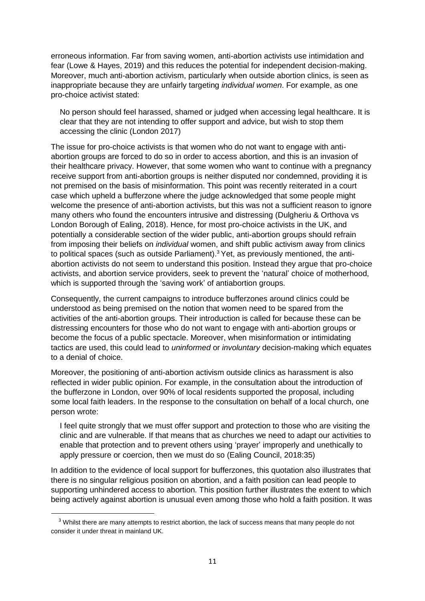erroneous information. Far from saving women, anti-abortion activists use intimidation and fear (Lowe & Hayes, 2019) and this reduces the potential for independent decision-making. Moreover, much anti-abortion activism, particularly when outside abortion clinics, is seen as inappropriate because they are unfairly targeting *individual women*. For example, as one pro-choice activist stated:

No person should feel harassed, shamed or judged when accessing legal healthcare. It is clear that they are not intending to offer support and advice, but wish to stop them accessing the clinic (London 2017)

The issue for pro-choice activists is that women who do not want to engage with antiabortion groups are forced to do so in order to access abortion, and this is an invasion of their healthcare privacy. However, that some women who want to continue with a pregnancy receive support from anti-abortion groups is neither disputed nor condemned, providing it is not premised on the basis of misinformation. This point was recently reiterated in a court case which upheld a bufferzone where the judge acknowledged that some people might welcome the presence of anti-abortion activists, but this was not a sufficient reason to ignore many others who found the encounters intrusive and distressing (Dulgheriu & Orthova vs London Borough of Ealing, 2018). Hence, for most pro-choice activists in the UK, and potentially a considerable section of the wider public, anti-abortion groups should refrain from imposing their beliefs on *individual* women, and shift public activism away from clinics to political spaces (such as outside Parliament).<sup>3</sup> Yet, as previously mentioned, the antiabortion activists do not seem to understand this position. Instead they argue that pro-choice activists, and abortion service providers, seek to prevent the 'natural' choice of motherhood, which is supported through the 'saving work' of antiabortion groups.

Consequently, the current campaigns to introduce bufferzones around clinics could be understood as being premised on the notion that women need to be spared from the activities of the anti-abortion groups. Their introduction is called for because these can be distressing encounters for those who do not want to engage with anti-abortion groups or become the focus of a public spectacle. Moreover, when misinformation or intimidating tactics are used, this could lead to *uninformed* or *involuntary* decision-making which equates to a denial of choice.

Moreover, the positioning of anti-abortion activism outside clinics as harassment is also reflected in wider public opinion. For example, in the consultation about the introduction of the bufferzone in London, over 90% of local residents supported the proposal, including some local faith leaders. In the response to the consultation on behalf of a local church, one person wrote:

I feel quite strongly that we must offer support and protection to those who are visiting the clinic and are vulnerable. If that means that as churches we need to adapt our activities to enable that protection and to prevent others using 'prayer' improperly and unethically to apply pressure or coercion, then we must do so (Ealing Council, 2018:35)

In addition to the evidence of local support for bufferzones, this quotation also illustrates that there is no singular religious position on abortion, and a faith position can lead people to supporting unhindered access to abortion. This position further illustrates the extent to which being actively against abortion is unusual even among those who hold a faith position. It was

1

<sup>&</sup>lt;sup>3</sup> Whilst there are many attempts to restrict abortion, the lack of success means that many people do not consider it under threat in mainland UK.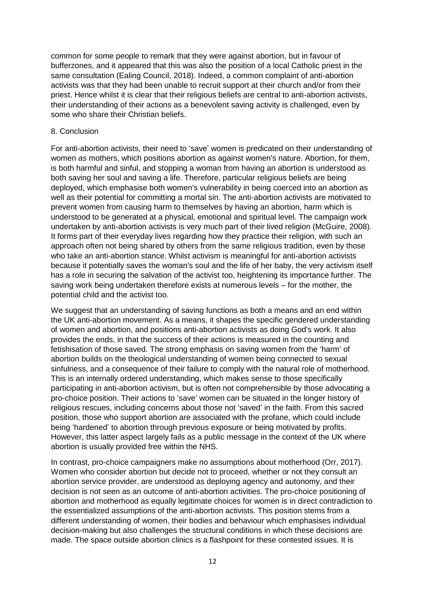common for some people to remark that they were against abortion, but in favour of bufferzones, and it appeared that this was also the position of a local Catholic priest in the same consultation (Ealing Council, 2018). Indeed, a common complaint of anti-abortion activists was that they had been unable to recruit support at their church and/or from their priest. Hence whilst it is clear that their religious beliefs are central to anti-abortion activists, their understanding of their actions as a benevolent saving activity is challenged, even by some who share their Christian beliefs.

### 8. Conclusion

For anti-abortion activists, their need to 'save' women is predicated on their understanding of women *as* mothers, which positions abortion as against women's nature. Abortion, for them, is both harmful and sinful, and stopping a woman from having an abortion is understood as both saving her soul and saving a life. Therefore, particular religious beliefs are being deployed, which emphasise both women's vulnerability in being coerced into an abortion as well as their potential for committing a mortal sin. The anti-abortion activists are motivated to prevent women from causing harm to themselves by having an abortion, harm which is understood to be generated at a physical, emotional and spiritual level. The campaign work undertaken by anti-abortion activists is very much part of their lived religion (McGuire, 2008). It forms part of their everyday lives regarding how they practice their religion, with such an approach often not being shared by others from the same religious tradition, even by those who take an anti-abortion stance. Whilst activism is meaningful for anti-abortion activists because it potentially saves the woman's soul and the life of her baby, the very activism itself has a role in securing the salvation of the activist too, heightening its importance further. The saving work being undertaken therefore exists at numerous levels – for the mother, the potential child and the activist too.

We suggest that an understanding of saving functions as both a means and an end within the UK anti-abortion movement. As a means, it shapes the specific gendered understanding of women and abortion, and positions anti-abortion activists as doing God's work. It also provides the ends, in that the success of their actions is measured in the counting and fetishisation of those saved. The strong emphasis on saving women from the 'harm' of abortion builds on the theological understanding of women being connected to sexual sinfulness, and a consequence of their failure to comply with the natural role of motherhood. This is an internally ordered understanding, which makes sense to those specifically participating in anti-abortion activism, but is often not comprehensible by those advocating a pro-choice position. Their actions to 'save' women can be situated in the longer history of religious rescues, including concerns about those not 'saved' in the faith. From this sacred position, those who support abortion are associated with the profane, which could include being 'hardened' to abortion through previous exposure or being motivated by profits. However, this latter aspect largely fails as a public message in the context of the UK where abortion is usually provided free within the NHS.

In contrast, pro-choice campaigners make no assumptions about motherhood (Orr, 2017). Women who consider abortion but decide not to proceed, whether or not they consult an abortion service provider, are understood as deploying agency and autonomy, and their decision is not seen as an outcome of anti-abortion activities. The pro-choice positioning of abortion and motherhood as equally legitimate choices for women is in direct contradiction to the essentialized assumptions of the anti-abortion activists. This position stems from a different understanding of women, their bodies and behaviour which emphasises individual decision-making but also challenges the structural conditions in which these decisions are made. The space outside abortion clinics is a flashpoint for these contested issues. It is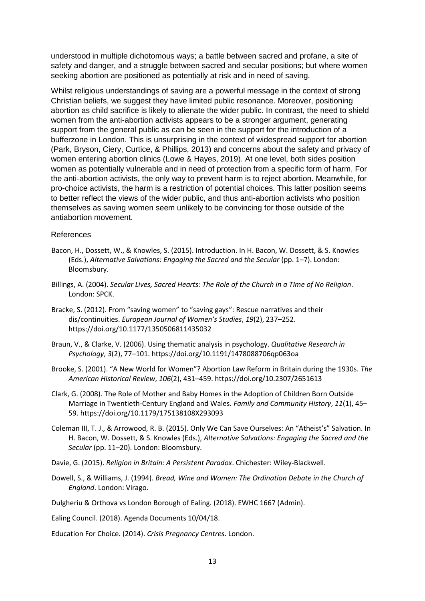understood in multiple dichotomous ways; a battle between sacred and profane, a site of safety and danger, and a struggle between sacred and secular positions; but where women seeking abortion are positioned as potentially at risk and in need of saving.

Whilst religious understandings of saving are a powerful message in the context of strong Christian beliefs, we suggest they have limited public resonance. Moreover, positioning abortion as child sacrifice is likely to alienate the wider public. In contrast, the need to shield women from the anti-abortion activists appears to be a stronger argument, generating support from the general public as can be seen in the support for the introduction of a bufferzone in London. This is unsurprising in the context of widespread support for abortion (Park, Bryson, Ciery, Curtice, & Phillips, 2013) and concerns about the safety and privacy of women entering abortion clinics (Lowe & Hayes, 2019). At one level, both sides position women as potentially vulnerable and in need of protection from a specific form of harm. For the anti-abortion activists, the only way to prevent harm is to reject abortion. Meanwhile, for pro-choice activists, the harm is a restriction of potential choices. This latter position seems to better reflect the views of the wider public, and thus anti-abortion activists who position themselves as saving women seem unlikely to be convincing for those outside of the antiabortion movement.

#### References

- Bacon, H., Dossett, W., & Knowles, S. (2015). Introduction. In H. Bacon, W. Dossett, & S. Knowles (Eds.), *Alternative Salvations: Engaging the Sacred and the Secular* (pp. 1–7). London: Bloomsbury.
- Billings, A. (2004). *Secular Lives, Sacred Hearts: The Role of the Church in a TIme of No Religion*. London: SPCK.
- Bracke, S. (2012). From "saving women" to "saving gays": Rescue narratives and their dis/continuities. *European Journal of Women's Studies*, *19*(2), 237–252. https://doi.org/10.1177/1350506811435032
- Braun, V., & Clarke, V. (2006). Using thematic analysis in psychology. *Qualitative Research in Psychology*, *3*(2), 77–101. https://doi.org/10.1191/1478088706qp063oa
- Brooke, S. (2001). "A New World for Women"? Abortion Law Reform in Britain during the 1930s. *The American Historical Review*, *106*(2), 431–459. https://doi.org/10.2307/2651613
- Clark, G. (2008). The Role of Mother and Baby Homes in the Adoption of Children Born Outside Marriage in Twentieth-Century England and Wales. *Family and Community History*, *11*(1), 45– 59. https://doi.org/10.1179/175138108X293093
- Coleman III, T. J., & Arrowood, R. B. (2015). Only We Can Save Ourselves: An "Atheist's" Salvation. In H. Bacon, W. Dossett, & S. Knowles (Eds.), *Alternative Salvations: Engaging the Sacred and the Secular* (pp. 11–20). London: Bloomsbury.
- Davie, G. (2015). *Religion in Britain: A Persistent Paradox*. Chichester: Wiley-Blackwell.
- Dowell, S., & Williams, J. (1994). *Bread, Wine and Women: The Ordination Debate in the Church of England*. London: Virago.
- Dulgheriu & Orthova vs London Borough of Ealing. (2018). EWHC 1667 (Admin).
- Ealing Council. (2018). Agenda Documents 10/04/18.

Education For Choice. (2014). *Crisis Pregnancy Centres*. London.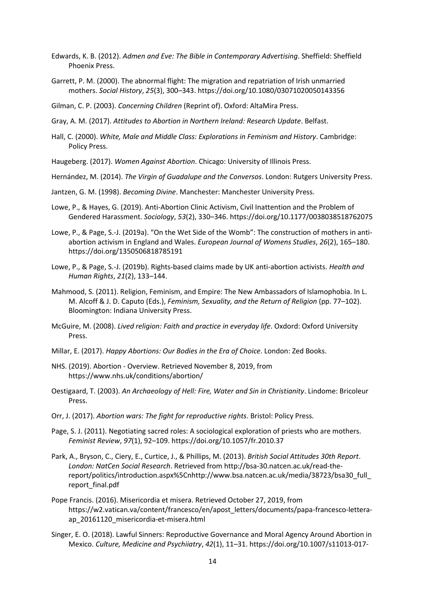- Edwards, K. B. (2012). *Admen and Eve: The Bible in Contemporary Advertising*. Sheffield: Sheffield Phoenix Press.
- Garrett, P. M. (2000). The abnormal flight: The migration and repatriation of Irish unmarried mothers. *Social History*, *25*(3), 300–343. https://doi.org/10.1080/03071020050143356

Gilman, C. P. (2003). *Concerning Children* (Reprint of). Oxford: AltaMira Press.

Gray, A. M. (2017). *Attitudes to Abortion in Northern Ireland: Research Update*. Belfast.

- Hall, C. (2000). *White, Male and Middle Class: Explorations in Feminism and History*. Cambridge: Policy Press.
- Haugeberg. (2017). *Women Against Abortion*. Chicago: University of Illinois Press.
- Hernández, M. (2014). *The Virgin of Guadalupe and the Conversos*. London: Rutgers University Press.
- Jantzen, G. M. (1998). *Becoming Divine*. Manchester: Manchester University Press.
- Lowe, P., & Hayes, G. (2019). Anti-Abortion Clinic Activism, Civil Inattention and the Problem of Gendered Harassment. *Sociology*, *53*(2), 330–346. https://doi.org/10.1177/0038038518762075
- Lowe, P., & Page, S.-J. (2019a). "On the Wet Side of the Womb": The construction of mothers in antiabortion activism in England and Wales. *European Journal of Womens Studies*, *26*(2), 165–180. https://doi.org/1350506818785191
- Lowe, P., & Page, S.-J. (2019b). Rights-based claims made by UK anti-abortion activists. *Health and Human Rights*, *21*(2), 133–144.
- Mahmood, S. (2011). Religion, Feminism, and Empire: The New Ambassadors of Islamophobia. In L. M. Alcoff & J. D. Caputo (Eds.), *Feminism, Sexuality, and the Return of Religion* (pp. 77–102). Bloomington: Indiana University Press.
- McGuire, M. (2008). *Lived religion: Faith and practice in everyday life*. Oxdord: Oxford University Press.
- Millar, E. (2017). *Happy Abortions: Our Bodies in the Era of Choice*. London: Zed Books.
- NHS. (2019). Abortion Overview. Retrieved November 8, 2019, from https://www.nhs.uk/conditions/abortion/
- Oestigaard, T. (2003). *An Archaeology of Hell: Fire, Water and Sin in Christianity*. Lindome: Bricoleur Press.
- Orr, J. (2017). *Abortion wars: The fight for reproductive rights*. Bristol: Policy Press.
- Page, S. J. (2011). Negotiating sacred roles: A sociological exploration of priests who are mothers. *Feminist Review*, *97*(1), 92–109. https://doi.org/10.1057/fr.2010.37
- Park, A., Bryson, C., Ciery, E., Curtice, J., & Phillips, M. (2013). *British Social Attitudes 30th Report*. *London: NatCen Social Research*. Retrieved from http://bsa-30.natcen.ac.uk/read-thereport/politics/introduction.aspx%5Cnhttp://www.bsa.natcen.ac.uk/media/38723/bsa30\_full\_ report\_final.pdf
- Pope Francis. (2016). Misericordia et misera. Retrieved October 27, 2019, from https://w2.vatican.va/content/francesco/en/apost\_letters/documents/papa-francesco-letteraap\_20161120\_misericordia-et-misera.html
- Singer, E. O. (2018). Lawful Sinners: Reproductive Governance and Moral Agency Around Abortion in Mexico. *Culture, Medicine and Psychiiatry*, *42*(1), 11–31. https://doi.org/10.1007/s11013-017-